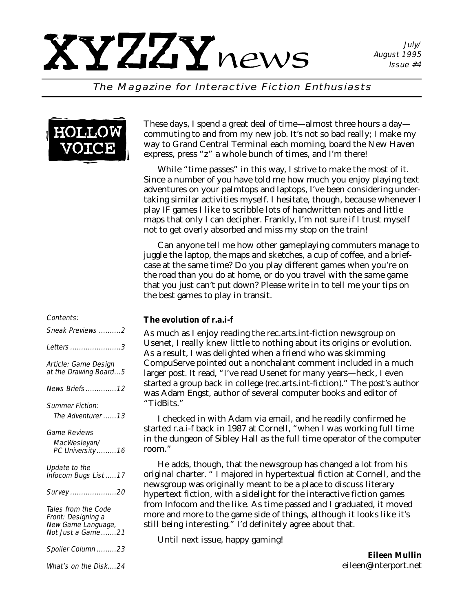#### The Magazine for Interactive Fiction Enthusiasts



These days, I spend a great deal of time—almost three hours a day commuting to and from my new job. It's not so bad really; I make my way to Grand Central Terminal each morning, board the New Haven express, press "z" a whole bunch of times, and I'm there!

While "time passes" in this way, I strive to make the most of it. Since a number of you have told me how much you enjoy playing text adventures on your palmtops and laptops, I've been considering undertaking similar activities myself. I hesitate, though, because whenever I play IF games I like to scribble lots of handwritten notes and little maps that only I can decipher. Frankly, I'm not sure if I trust myself not to get overly absorbed and miss my stop on the train!

Can anyone tell me how other gameplaying commuters manage to juggle the laptop, the maps and sketches, a cup of coffee, and a briefcase at the same time? Do you play different games when you're on the road than you do at home, or do you travel with the same game that you just can't put down? Please write in to tell me your tips on the best games to play in transit.

#### *The evolution of r.a.i-f*

As much as I enjoy reading the rec.arts.int-fiction newsgroup on Usenet, I really knew little to nothing about its origins or evolution. As a result, I was delighted when a friend who was skimming CompuServe pointed out a nonchalant comment included in a much larger post. It read, "I've read Usenet for many years—heck, I even started a group back in college (rec.arts.int-fiction)." The post's author was Adam Engst, author of several computer books and editor of "TidBits."

I checked in with Adam via email, and he readily confirmed he started r.a.i-f back in 1987 at Cornell, "when I was working full time in the dungeon of Sibley Hall as the full time operator of the computer room."

He adds, though, that the newsgroup has changed a lot from his original charter. " I majored in hypertextual fiction at Cornell, and the newsgroup was originally meant to be a place to discuss literary hypertext fiction, with a sidelight for the interactive fiction games from Infocom and the like. As time passed and I graduated, it moved more and more to the game side of things, although it looks like it's still being interesting." I'd definitely agree about that.

Until next issue, happy gaming!

*Eileen Mullin eileen@interport.net*

#### Contents:

| Sneak Previews 2                                                                     |
|--------------------------------------------------------------------------------------|
| <i>Letters 3</i>                                                                     |
| Article: Game Design<br>at the Drawing Board5                                        |
| News Briefs12                                                                        |
| <b>Summer Fiction:</b><br>The Adventurer 13                                          |
| <i><b>Game Reviews</b></i><br>MacWesleyan/<br>PC University 16                       |
| Update to the<br>Infocom Bugs List 17                                                |
| Survey 20                                                                            |
| Tales from the Code<br>Front: Designing a<br>New Game Language,<br>Not Just a Game21 |
| Spoiler Column 23                                                                    |
| What's on the Disk24                                                                 |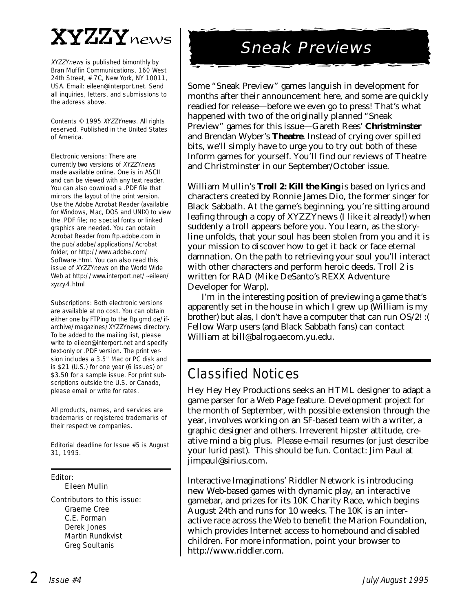## $\mathbf{XYZZY}$ news

XYZZYnews is published bimonthly by Bran Muffin Communications, 160 West 24th Street, # 7C, New York, NY 10011, USA. Email: eileen@interport.net. Send all inquiries, letters, and submissions to the address above.

Contents © 1995 XYZZYnews. All rights reserved. Published in the United States of America.

Electronic versions: There are currently two versions of XYZZYnews made available online. One is in ASCII and can be viewed with any text reader. You can also download a .PDF file that mirrors the layout of the print version. Use the Adobe Acrobat Reader (available for Windows, Mac, DOS and UNIX) to view the .PDF file; no special fonts or linked graphics are needed. You can obtain Acrobat Reader from ftp.adobe.com in the pub/adobe/applications/Acrobat folder, or http://www.adobe.com/ Software.html. You can also read this issue of XYZZYnews on the World Wide Web at http://www.interport.net/~eileen/ xyzzy.4.html

Subscriptions: Both electronic versions are available at no cost. You can obtain either one by FTPing to the ftp.gmd.de/ifarchive/magazines/XYZZYnews directory. To be added to the mailing list, please write to eileen@interport.net and specify text-only or .PDF version. The print version includes a 3.5" Mac or PC disk and is \$21 (U.S.) for one year (6 issues) or \$3.50 for a sample issue. For print subscriptions outside the U.S. or Canada, please email or write for rates.

All products, names, and ser vices are trademarks or registered trademarks of their respective companies.

Editorial deadline for Issue #5 is August 31, 1995.

#### Editor:

Eileen Mullin

#### Contributors to this issue:

Graeme Cree C.E. Forman Derek Jones Martin Rundkvist Greg Soultanis

## Sneak Previews

Some "Sneak Preview" games languish in development for months after their announcement here, and some are quickly readied for release—before we even go to press! That's what happened with two of the originally planned "Sneak Preview" games for this issue—Gareth Rees' **Christminster** and Brendan Wyber's **Theatre**. Instead of crying over spilled bits, we'll simply have to urge you to try out both of these Inform games for yourself. You'll find our reviews of Theatre and Christminster in our September/October issue.

William Mullin's **Troll 2: Kill the King** is based on lyrics and characters created by Ronnie James Dio, the former singer for Black Sabbath. At the game's beginning, you're sitting around leafing through a copy of *XYZZYnews* (I like it already!) when suddenly a troll appears before you. You learn, as the storyline unfolds, that your soul has been stolen from you and it is your mission to discover how to get it back or face eternal damnation. On the path to retrieving your soul you'll interact with other characters and perform heroic deeds. Troll 2 is written for RAD (Mike DeSanto's REXX Adventure Developer for Warp).

I'm in the interesting position of previewing a game that's apparently set in the house in which I grew up (William is my brother) but alas, I don't have a computer that can run OS/2! :( Fellow Warp users (and Black Sabbath fans) can contact William at bill@balrog.aecom.yu.edu.

## Classified Notices

Hey Hey Hey Productions seeks an HTML designer to adapt a game parser for a Web Page feature. Development project for the month of September, with possible extension through the year, involves working on an SF-based team with a writer, a graphic designer and others. Irreverent hipster attitude, creative mind a big plus. Please e-mail resumes (or just describe your lurid past). This should be fun. Contact: Jim Paul at jimpaul@sirius.com.

Interactive Imaginations' Riddler Network is introducing new Web-based games with dynamic play, an interactive gamebar, and prizes for its 10K Charity Race, which begins August 24th and runs for 10 weeks. The 10K is an interactive race across the Web to benefit the Marion Foundation, which provides Internet access to homebound and disabled children. For more information, point your browser to http://www.riddler.com.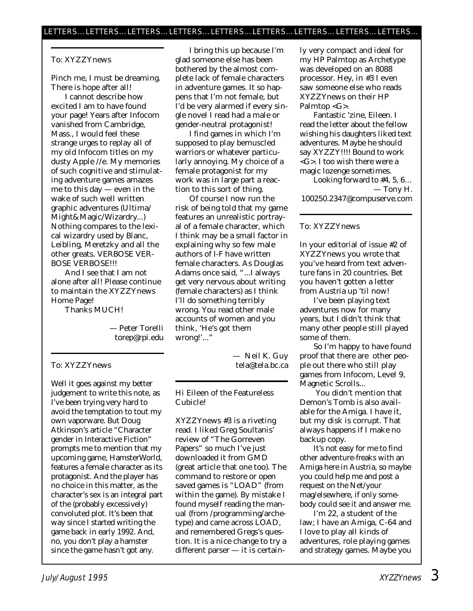#### To: XYZZYnews

Pinch me, I must be dreaming. There is hope after all!

I cannot describe how excited I am to have found your page! Years after Infocom vanished from Cambridge, Mass., I would feel these strange urges to replay all of my old Infocom titles on my dusty Apple //e. My memories of such cognitive and stimulating adventure games amazes me to this day — even in the wake of such well written graphic adventures (Ultima/ Might&Magic/Wizardry...) Nothing compares to the lexical wizardry used by Blanc, Leibling, Meretzky and all the other greats. VERBOSE VER-BOSE VERBOSE!!!

And I see that I am not alone after all! Please continue to maintain the XYZZYnews Home Page!

Thanks MUCH!

— Peter Torelli torep@rpi.edu

#### To: XYZZYnews

Well it goes against my better judgement to write this note, as I've been trying very hard to avoid the temptation to tout my own vaporware. But Doug Atkinson's article "Character gender in Interactive Fiction" prompts me to mention that my upcoming game, HamsterWorld, features a female character as its protagonist. And the player has no choice in this matter, as the character's sex is an integral part of the (probably excessively) convoluted plot. It's been that way since I started writing the game back in early 1992. And, no, you don't play a hamster since the game hasn't got any.

I bring this up because I'm glad someone else has been bothered by the almost complete lack of female characters in adventure games. It so happens that I'm not female, but I'd be very alarmed if every single novel I read had a male or gender-neutral protagonist!

I find games in which I'm supposed to play bemuscled warriors or whatever particularly annoying. My choice of a female protagonist for my work was in large part a reaction to this sort of thing.

Of course I now run the risk of being told that my game features an unrealistic portrayal of a female character, which I think may be a small factor in explaining why so few male authors of I-F have written female characters. As Douglas Adams once said, "...I always get very nervous about writing (female characters) as I think I'll do something terribly wrong. You read other male accounts of women and you think, 'He's got them wrong!'..."

> — Neil K. Guy tela@tela.bc.ca

Hi Eileen of the Featureless Cubicle!

*XYZZYnews* #3 is a riveting read. I liked Greg Soultanis' review of "The Gorreven Papers" so much I've just downloaded it from GMD (great article that one too). The command to restore or open saved games is "LOAD" (from within the game). By mistake I found myself reading the manual (from /programming/archetype) and came across LOAD, and remembered Gregs's question. It is a nice change to try a different parser — it is certainly very compact and ideal for my HP Palmtop as Archetype was developed on an 8088 processor. Hey, in #3 I even saw someone else who reads *XYZZYnews* on their HP Palmtop <G>.

Fantastic 'zine, Eileen. I read the letter about the fellow wishing his daughters liked text adventures. Maybe he should say XYZZY!!!! Bound to work <G>. I too wish there were a magic lozenge sometimes.

Looking forward to #4, 5, 6… — Tony H. 100250.2347@compuserve.com

#### To: XYZZYnews

In your editorial of issue #2 of *XYZZYnews* you wrote that you've heard from text adventure fans in 20 countries. Bet you haven't gotten a letter from Austria up 'til now!

I've been playing text adventures now for many years, but I didn't think that many other people still played some of them.

So I'm happy to have found proof that there are other people out there who still play games from Infocom, Level 9, Magnetic Scrolls...

You didn't mention that Demon's Tomb is also available for the Amiga. I have it, but my disk is corrupt. That always happens if I make no backup copy.

It's not easy for me to find other adventure-freaks with an Amiga here in Austria, so maybe you could help me and post a request on the Net/your mag/elsewhere, if only somebody could see it and answer me.

I'm 22, a student of the law; I have an Amiga, C-64 and I love to play all kinds of adventures, role playing games and strategy games. Maybe you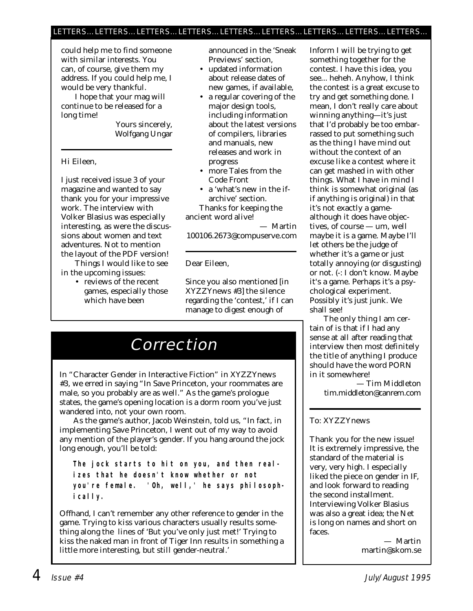#### LETTERS…LETTERS…LETTERS…LETTERS…LETTERS…LETTERS…LETTERS…LETTERS…LETTERS…

could help me to find someone with similar interests. You can, of course, give them my address. If you could help me, I would be very thankful.

I hope that your mag will continue to be released for a long time!

> Yours sincerely, Wolfgang Ungar

Hi Eileen,

I just received issue 3 of your magazine and wanted to say thank you for your impressive work. The interview with Volker Blasius was especially interesting, as were the discussions about women and text adventures. Not to mention the layout of the PDF version!

Things I would like to see in the upcoming issues:

> • reviews of the recent games, especially those which have been

announced in the 'Sneak Previews' section,

- updated information about release dates of new games, if available,
- a regular covering of the major design tools, including information about the latest versions of compilers, libraries and manuals, new releases and work in progress
- more Tales from the Code Front
- a 'what's new in the ifarchive' section. Thanks for keeping the ancient word alive!

— Martin 100106.2673@compuserve.com

Dear Eileen,

Since you also mentioned [in *XYZZYnews* #3] the silence regarding the 'contest,' if I can manage to digest enough of

## Correction

In "Character Gender in Interactive Fiction" in *XYZZYnews* #3, we erred in saying "In Save Princeton, your roommates are male, so you probably are as well." As the game's prologue states, the game's opening location is a dorm room you've just wandered into, not your own room.

As the game's author, Jacob Weinstein, told us, "In fact, in implementing Save Princeton, I went out of my way to avoid any mention of the player's gender. If you hang around the jock long enough, you'll be told:

**The jock starts to hit on you, and then realizes that he doesn't know whether or not you're female. 'Oh, well,' he says philosophically.**

Offhand, I can't remember any other reference to gender in the game. Trying to kiss various characters usually results something along the lines of 'But you've only just met!' Trying to kiss the naked man in front of Tiger Inn results in something a little more interesting, but still gender-neutral.'

Inform I will be trying to get something together for the contest. I have this idea, you see... heheh. Anyhow, I think the contest is a great excuse to try and get something done. I mean, I don't really care about winning anything—it's just that I'd probably be too embarrassed to put something such as the thing I have mind out without the context of an excuse like a contest where it can get mashed in with other things. What I have in mind I think is somewhat original (as if anything is original) in that it's not exactly a gamealthough it does have objectives, of course — um, well maybe it is a game. Maybe I'll let others be the judge of whether it's a game or just totally annoying (or disgusting) or not. (-: I don't know. Maybe it's a game. Perhaps it's a psychological experiment. Possibly it's just junk. We shall see!

The only thing I am certain of is that if I had any sense at all after reading that interview then most definitely the title of anything I produce should have the word PORN in it somewhere!

> — Tim Middleton tim.middleton@canrem.com

#### To: XYZZYnews

Thank you for the new issue! It is extremely impressive, the standard of the material is very, very high. I especially liked the piece on gender in IF, and look forward to reading the second installment. Interviewing Volker Blasius was also a great idea; the Net is long on names and short on faces.

> — Martin martin@skom.se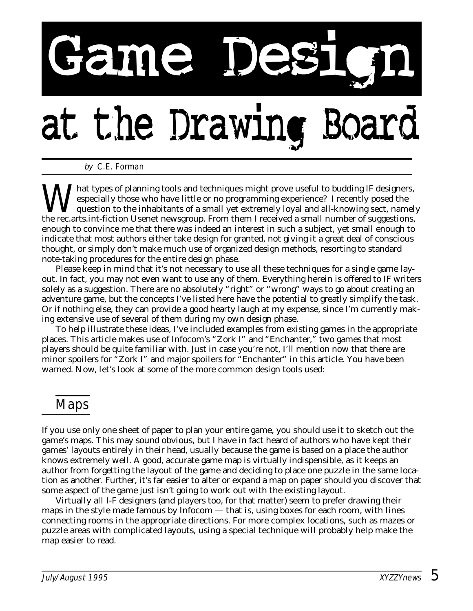# Fame De

## at the Drawing

by C.E. Forman

What types of planning tools and techniques might prove useful to budding IF designers,<br>especially those who have little or no programming experience? I recently posed the<br>question to the inhabitants of a small yet extreme especially those who have little or no programming experience? I recently posed the question to the inhabitants of a small yet extremely loyal and all-knowing sect, namely the rec.arts.int-fiction Usenet newsgroup. From them I received a small number of suggestions, enough to convince me that there was indeed an interest in such a subject, yet small enough to indicate that most authors either take design for granted, not giving it a great deal of conscious thought, or simply don't make much use of organized design methods, resorting to standard note-taking procedures for the entire design phase.

Please keep in mind that it's not necessary to use all these techniques for a single game layout. In fact, you may not even want to use any of them. Everything herein is offered to IF writers solely as a suggestion. There are no absolutely "right" or "wrong" ways to go about creating an adventure game, but the concepts I've listed here have the potential to greatly simplify the task. Or if nothing else, they can provide a good hearty laugh at my expense, since I'm currently making extensive use of several of them during my own design phase.

To help illustrate these ideas, I've included examples from existing games in the appropriate places. This article makes use of Infocom's "Zork I" and "Enchanter," two games that most players should be quite familiar with. Just in case you're not, I'll mention now that there *are* minor spoilers for "Zork I" and major spoilers for "Enchanter" in this article. You have been warned. Now, let's look at some of the more common design tools used:

## Maps

If you use only one sheet of paper to plan your entire game, you should use it to sketch out the game's maps. This may sound obvious, but I have in fact heard of authors who have kept their games' layouts entirely in their head, usually because the game is based on a place the author knows extremely well. A good, accurate game map is virtually indispensible, as it keeps an author from forgetting the layout of the game and deciding to place one puzzle in the same location as another. Further, it's far easier to alter or expand a map on paper should you discover that some aspect of the game just isn't going to work out with the existing layout.

Virtually all I-F designers (and players too, for that matter) seem to prefer drawing their maps in the style made famous by Infocom — that is, using boxes for each room, with lines connecting rooms in the appropriate directions. For more complex locations, such as mazes or puzzle areas with complicated layouts, using a special technique will probably help make the map easier to read.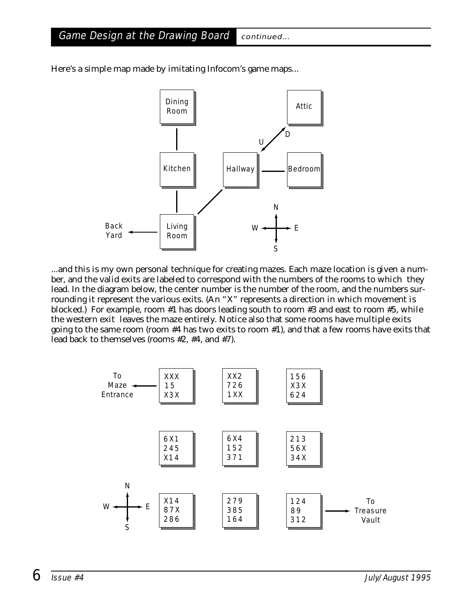Game Design at the Drawing Board continued...



Here's a simple map made by imitating Infocom's game maps...

...and this is my own personal technique for creating mazes. Each maze location is given a number, and the valid exits are labeled to correspond with the numbers of the rooms to which they lead. In the diagram below, the center number is the number of the room, and the numbers surrounding it represent the various exits. (An "X" represents a direction in which movement is blocked.) For example, room #1 has doors leading south to room #3 and east to room #5, while the western exit leaves the maze entirely. Notice also that some rooms have multiple exits going to the same room (room #4 has two exits to room #1), and that a few rooms have exits that lead back to themselves (rooms #2, #4, and #7).

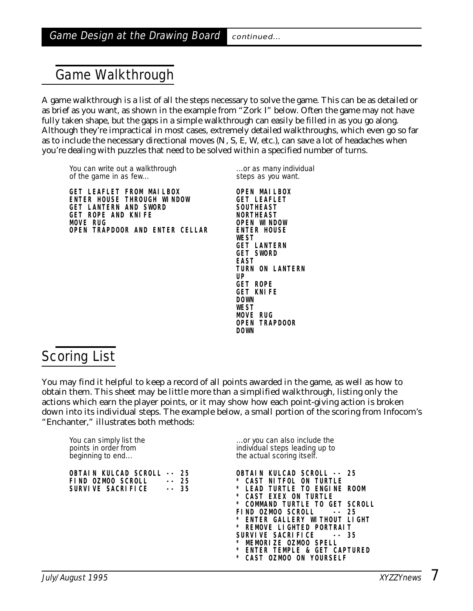## Game Walkthrough

A game walkthrough is a list of all the steps necessary to solve the game. This can be as detailed or as brief as you want, as shown in the example from "Zork I" below. Often the game may not have fully taken shape, but the gaps in a simple walkthrough can easily be filled in as you go along. Although they're impractical in most cases, extremely detailed walkthroughs, which even go so far as to include the necessary directional moves (N, S, E, W, etc.), can save a lot of headaches when you're dealing with puzzles that need to be solved within a specified number of turns.

You can write out a walkthrough ...or as many individual of the game in as few... steps as you want.

**GET LEAFLET FROM MAILBOX OPEN MAILBOX ENTER HOUSE THROUGH WINDOW GET LEAFLET** GET LANTERN AND SWORD SOUTHEAST GET ROPE AND KNIFE NORTHEAST **MOVE RUG OPEN WINDOW OPEN TRAPDOOR AND ENTER CELLAR** 

**WEST GET LANTERN GET SWORD EAST TURN ON LANTERN UP GET ROPE** GET KNIFE **DOWN WEST MOVE RUG OPEN TRAPDOOR DOWN**

## Scoring List

You may find it helpful to keep a record of all points awarded in the game, as well as how to obtain them. This sheet may be little more than a simplified walkthrough, listing only the actions which earn the player points, or it may show how each point-giving action is broken down into its individual steps. The example below, a small portion of the scoring from Infocom's "Enchanter," illustrates both methods:

| You can simply list the<br>points in order from<br>beginning to end                                       | or you can also include the<br>individual steps leading up to<br>the actual scoring itself.                                                                                                                                                                                                                                                                                                 |
|-----------------------------------------------------------------------------------------------------------|---------------------------------------------------------------------------------------------------------------------------------------------------------------------------------------------------------------------------------------------------------------------------------------------------------------------------------------------------------------------------------------------|
| KULCAD SCROLL<br>$- - 25$<br>OBTAI N<br>FIND OZMOO SCROLL<br>$- - 25$<br>$- - 35$<br>SURVI VE SACRI FI CE | OBTAIN KULCAD SCROLL -- 25<br>NI TFOL ON TURTLE<br><b>CAST</b><br>TURTLE TO ENGINE ROOM<br>L FAD.<br>CAST EXEX ON TURTLE<br>COMMAND TURTLE TO GET SCROLL<br>FIND OZMOO SCROLL<br>$- - 2.5$<br>ENTER GALLERY WITHOUT LIGHT<br>REMOVE LIGHTED PORTRAIT<br>SURVI VE SACRI FI CE<br>$- - 35$<br>MEMORIZE OZMOO SPELL<br>ENTER TEMPLE & GET CAPTURED<br><b>CAST</b><br>ON<br>- YOURSELF<br>OZMOO |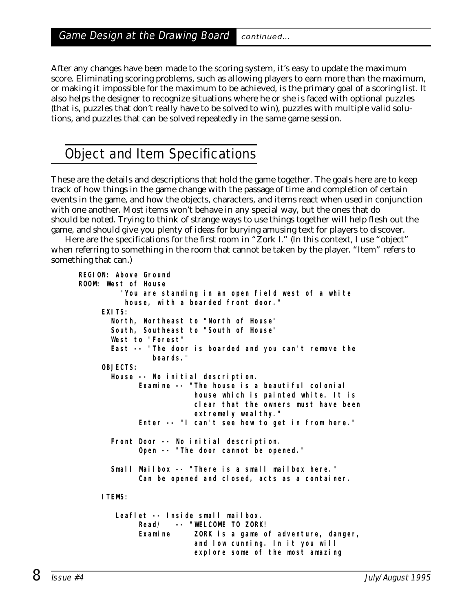After any changes have been made to the scoring system, it's easy to update the maximum score. Eliminating scoring problems, such as allowing players to earn more than the maximum, or making it impossible for the maximum to be achieved, is the primary goal of a scoring list. It also helps the designer to recognize situations where he or she is faced with optional puzzles (that is, puzzles that don't really have to be solved to win), puzzles with multiple valid solutions, and puzzles that can be solved repeatedly in the same game session.

## Object and Item Specifications

These are the details and descriptions that hold the game together. The goals here are to keep track of how things in the game change with the passage of time and completion of certain events in the game, and how the objects, characters, and items react when used in conjunction with one another. Most items won't behave in any special way, but the ones that do should be noted. Trying to think of strange ways to use things together will help flesh out the game, and should give you plenty of ideas for burying amusing text for players to discover.

Here are the specifications for the first room in "Zork I." (In this context, I use "object" when referring to something in the room that cannot be taken by the player. "Item" refers to something that can.)

```
REGION: Above Ground
ROOM: West of House
         "You are standing in an open field west of a white
          house, with a boarded front door."
    EXITS:
       North, Northeast to "North of House"
      South, Southeast to "South of House"
      West to "Forest"
       East -- "The door is boarded and you can't remove the
               boards."
    OBJECTS:
      House -- No initial description.
             Examine -- "The house is a beautiful colonial
                         house which is painted white. It is
                         clear that the owners must have been
                         extremely wealthy."
             Enter -- "I can't see how to get in from here."
       Front Door -- No initial description.
             Open -- "The door cannot be opened."
      Small Mailbox -- "There is a small mailbox here."
             Can be opened and closed, acts as a container.
    ITEMS:
       Leaflet -- Inside small mailbox.
             Read/ -- "WELCOME TO ZORK!
             Examine ZORK is a game of adventure, danger,
                         and low cunning. In it you will
                         explore some of the most amazing
```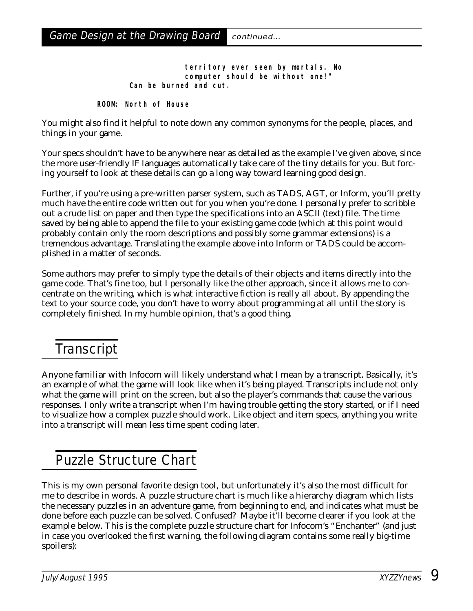**territory ever seen by mortals. No computer should be without one!" Can be burned and cut.**

**ROOM: North of House**

You might also find it helpful to note down any common synonyms for the people, places, and things in your game.

Your specs shouldn't have to be anywhere near as detailed as the example I've given above, since the more user-friendly IF languages automatically take care of the tiny details for you. But forcing yourself to look at these details can go a long way toward learning good design.

Further, if you're using a pre-written parser system, such as TADS, AGT, or Inform, you'll pretty much have the entire code written out for you when you're done. I personally prefer to scribble out a crude list on paper and then type the specifications into an ASCII (text) file. The time saved by being able to append the file to your existing game code (which at this point would probably contain only the room descriptions and possibly some grammar extensions) is a tremendous advantage. Translating the example above into Inform or TADS could be accomplished in a matter of seconds.

Some authors may prefer to simply type the details of their objects and items directly into the game code. That's fine too, but I personally like the other approach, since it allows me to concentrate on the writing, which is what interactive fiction is really all about. By appending the text to your source code, you don't have to worry about programming at all until the story is completely finished. In my humble opinion, that's a good thing.

## **Transcript**

Anyone familiar with Infocom will likely understand what I mean by a transcript. Basically, it's an example of what the game will look like when it's being played. Transcripts include not only what the game will print on the screen, but also the player's commands that cause the various responses. I only write a transcript when I'm having trouble getting the story started, or if I need to visualize how a complex puzzle should work. Like object and item specs, anything you write into a transcript will mean less time spent coding later.

## Puzzle Structure Chart

This is my own personal favorite design tool, but unfortunately it's also the most difficult for me to describe in words. A puzzle structure chart is much like a hierarchy diagram which lists the necessary puzzles in an adventure game, from beginning to end, and indicates what must be done before each puzzle can be solved. Confused? Maybe it'll become clearer if you look at the example below. This is the complete puzzle structure chart for Infocom's "Enchanter" (and just in case you overlooked the first warning, the following diagram contains some really big-time spoilers):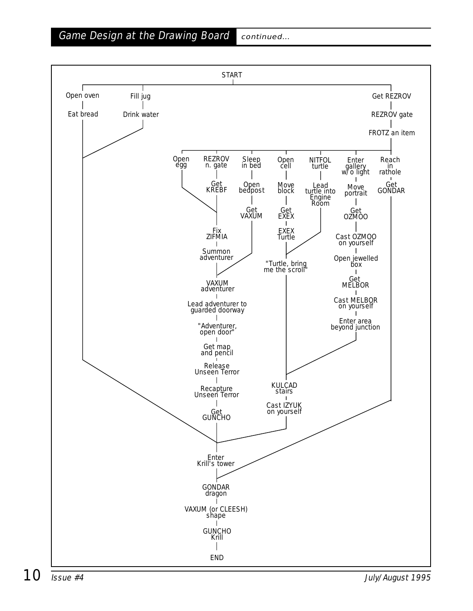Game Design at the Drawing Board continued...

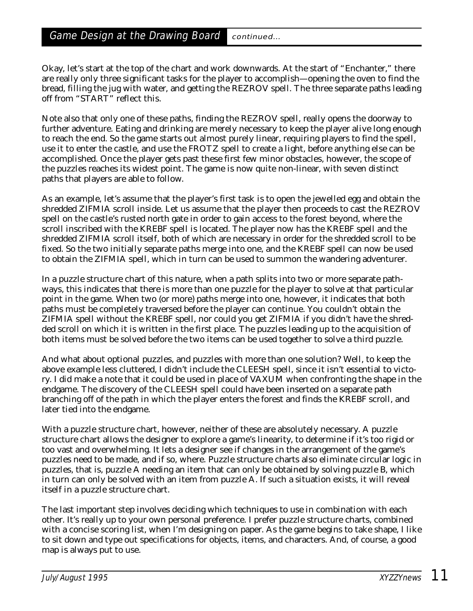Okay, let's start at the top of the chart and work downwards. At the start of "Enchanter," there are really only three significant tasks for the player to accomplish—opening the oven to find the bread, filling the jug with water, and getting the REZROV spell. The three separate paths leading off from "START" reflect this.

Note also that only one of these paths, finding the REZROV spell, really opens the doorway to further adventure. Eating and drinking are merely necessary to keep the player alive long enough to reach the end. So the game starts out almost purely linear, requiring players to find the spell, use it to enter the castle, and use the FROTZ spell to create a light, before anything else can be accomplished. Once the player gets past these first few minor obstacles, however, the scope of the puzzles reaches its widest point. The game is now quite non-linear, with seven distinct paths that players are able to follow.

As an example, let's assume that the player's first task is to open the jewelled egg and obtain the shredded ZIFMIA scroll inside. Let us assume that the player then proceeds to cast the REZROV spell on the castle's rusted north gate in order to gain access to the forest beyond, where the scroll inscribed with the KREBF spell is located. The player now has the KREBF spell and the shredded ZIFMIA scroll itself, both of which are necessary in order for the shredded scroll to be fixed. So the two initially separate paths merge into one, and the KREBF spell can now be used to obtain the ZIFMIA spell, which in turn can be used to summon the wandering adventurer.

In a puzzle structure chart of this nature, when a path splits into two or more separate pathways, this indicates that there is more than one puzzle for the player to solve at that particular point in the game. When two (or more) paths merge into one, however, it indicates that *both* paths must be completely traversed before the player can continue. You couldn't obtain the ZIFMIA spell without the KREBF spell, nor could you get ZIFMIA if you didn't have the shredded scroll on which it is written in the first place. The puzzles leading up to the acquisition of both items must be solved before the two items can be used together to solve a third puzzle.

And what about optional puzzles, and puzzles with more than one solution? Well, to keep the above example less cluttered, I didn't include the CLEESH spell, since it isn't essential to victory. I did make a note that it could be used in place of VAXUM when confronting the shape in the endgame. The discovery of the CLEESH spell could have been inserted on a separate path branching off of the path in which the player enters the forest and finds the KREBF scroll, and later tied into the endgame.

With a puzzle structure chart, however, neither of these are absolutely necessary. A puzzle structure chart allows the designer to explore a game's linearity, to determine if it's too rigid or too vast and overwhelming. It lets a designer see if changes in the arrangement of the game's puzzles need to be made, and if so, where. Puzzle structure charts also eliminate circular logic in puzzles, that is, puzzle A needing an item that can only be obtained by solving puzzle B, which in turn can only be solved with an item from puzzle A. If such a situation exists, it will reveal itself in a puzzle structure chart.

The last important step involves deciding which techniques to use in combination with each other. It's really up to your own personal preference. I prefer puzzle structure charts, combined with a concise scoring list, when I'm designing on paper. As the game begins to take shape, I like to sit down and type out specifications for objects, items, and characters. And, of course, a good map is always put to use.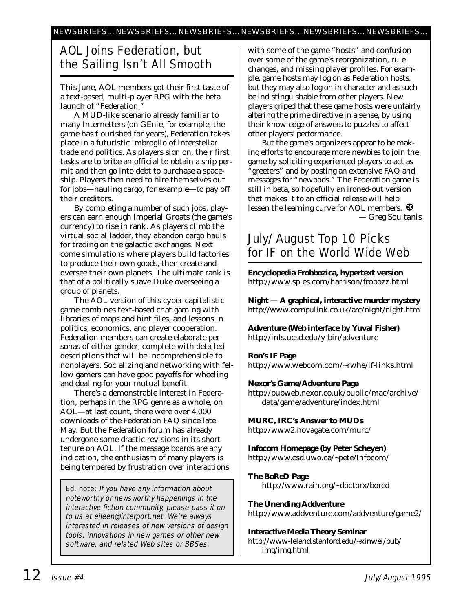### AOL Joins Federation, but the Sailing Isn't All Smooth

This June, AOL members got their first taste of a text-based, multi-player RPG with the beta launch of "Federation."

A MUD-like scenario already familiar to many Internetters (on GEnie, for example, the game has flourished for years), Federation takes place in a futuristic imbroglio of interstellar trade and politics. As players sign on, their first tasks are to bribe an official to obtain a ship permit and then go into debt to purchase a spaceship. Players then need to hire themselves out for jobs—hauling cargo, for example—to pay off their creditors.

By completing a number of such jobs, players can earn enough Imperial Groats (the game's currency) to rise in rank. As players climb the virtual social ladder, they abandon cargo hauls for trading on the galactic exchanges. Next come simulations where players build factories to produce their own goods, then create and oversee their own planets. The ultimate rank is that of a politically suave Duke overseeing a group of planets.

The AOL version of this cyber-capitalistic game combines text-based chat gaming with libraries of maps and hint files, and lessons in politics, economics, and player cooperation. Federation members can create elaborate personas of either gender, complete with detailed descriptions that will be incomprehensible to nonplayers. Socializing and networking with fellow gamers can have good payoffs for wheeling and dealing for your mutual benefit.

There's a demonstrable interest in Federation, perhaps in the RPG genre as a whole, on AOL—at last count, there were over 4,000 downloads of the Federation FAQ since late May. But the Federation forum has already undergone some drastic revisions in its short tenure on AOL. If the message boards are any indication, the enthusiasm of many players is being tempered by frustration over interactions

Ed. note: If you have any information about noteworthy or newsworthy happenings in the interactive fiction community, please pass it on to us at eileen@interport.net. We're always interested in releases of new versions of design tools, innovations in new games or other new software, and related Web sites or BBSes.

with some of the game "hosts" and confusion over some of the game's reorganization, rule changes, and missing player profiles. For example, game hosts may log on as Federation hosts, but they may also log on in character and as such be indistinguishable from other players. New players griped that these game hosts were unfairly altering the prime directive in a sense, by using their knowledge of answers to puzzles to affect other players' performance.

But the game's organizers appear to be making efforts to encourage more newbies to join the game by soliciting experienced players to act as greeters" and by posting an extensive FAQ and messages for "newbods." The Federation game is still in beta, so hopefully an ironed-out version that makes it to an official release will help lessen the learning curve for AOL members.  $\bullet$ *— Greg Soultanis*

### July/August Top 10 Picks for IF on the World Wide Web

**Encyclopedia Frobbozica, hypertext version** http://www.spies.com/harrison/frobozz.html

**Night — A graphical, interactive murder mystery** http://www.compulink.co.uk/arc/night/night.htm

**Adventure (Web interface by Yuval Fisher)** http://inls.ucsd.edu/y-bin/adventure

#### **Ron's IF Page**

http://www.webcom.com/~rwhe/if-links.html

#### **Nexor's Game/Adventure Page**

http://pubweb.nexor.co.uk/public/mac/archive/ data/game/adventure/index.html

**MURC, IRC's Answer to MUDs** http://www2.novagate.com/murc/

**Infocom Homepage (by Peter Scheyen)** http://www.csd.uwo.ca/~pete/Infocom/

#### **The BoReD Page** http://www.rain.org/~doctorx/bored

**The Unending Addventure** http://www.addventure.com/addventure/game2/

#### **Interactive Media Theory Seminar**

http://www-leland.stanford.edu/~xinwei/pub/ img/img.html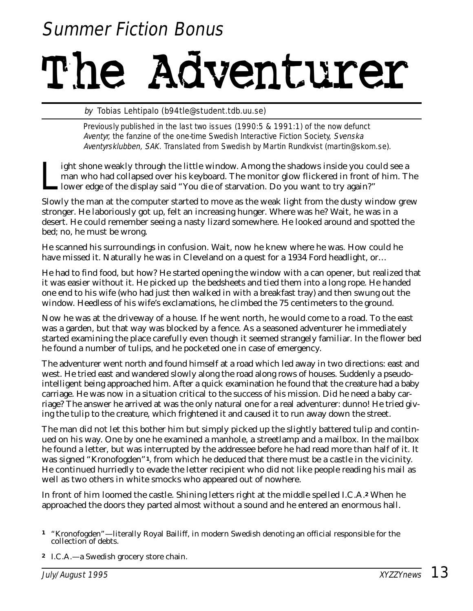## Summer Fiction Bonus

## The Adventurer

#### by Tobias Lehtipalo (b94tle@student.tdb.uu.se)

Previously published in the last two issues (1990:5 & 1991:1) of the now defunct Aventyr, the fanzine of the one-time Swedish Interactive Fiction Society, Svenska Aventyrsklubben, SAK. Translated from Swedish by Martin Rundkvist (martin@skom.se).

ight shone weakly through the little window. Among the shadows inside you could see a man who had collapsed over his keyboard. The monitor glow flickered in front of him. The lower edge of the display said "You die of star man who had collapsed over his keyboard. The monitor glow flickered in front of him. The lower edge of the display said "You die of starvation. Do you want to try again?"

Slowly the man at the computer started to move as the weak light from the dusty window grew stronger. He laboriously got up, felt an increasing hunger. Where was he? Wait, he was in a desert. He could remember seeing a nasty lizard somewhere. He looked around and spotted the bed; no, he must be wrong.

He scanned his surroundings in confusion. Wait, now he knew where he was. How could he have missed it. Naturally he was in Cleveland on a quest for a 1934 Ford headlight, or…

He had to find food, but how? He started opening the window with a can opener, but realized that it was easier without it. He picked up the bedsheets and tied them into a long rope. He handed one end to his wife (who had just then walked in with a breakfast tray) and then swung out the window. Heedless of his wife's exclamations, he climbed the 75 centimeters to the ground.

Now he was at the driveway of a house. If he went north, he would come to a road. To the east was a garden, but that way was blocked by a fence. As a seasoned adventurer he immediately started examining the place carefully even though it seemed strangely familiar. In the flower bed he found a number of tulips, and he pocketed one in case of emergency.

The adventurer went north and found himself at a road which led away in two directions: east and west. He tried east and wandered slowly along the road along rows of houses. Suddenly a pseudointelligent being approached him. After a quick examination he found that the creature had a baby carriage. He was now in a situation critical to the success of his mission. Did he need a baby carriage? The answer he arrived at was the only natural one for a real adventurer: dunno! He tried giving the tulip to the creature, which frightened it and caused it to run away down the street.

The man did not let this bother him but simply picked up the slightly battered tulip and continued on his way. One by one he examined a manhole, a streetlamp and a mailbox. In the mailbox he found a letter, but was interrupted by the addressee before he had read more than half of it. It was signed "Kronofogden"**1**, from which he deduced that there must be a castle in the vicinity. He continued hurriedly to evade the letter recipient who did not like people reading his mail as well as two others in white smocks who appeared out of nowhere.

In front of him loomed the castle. Shining letters right at the middle spelled I.C.A.**<sup>2</sup>** When he approached the doors they parted almost without a sound and he entered an enormous hall.

**<sup>2</sup>** I.C.A.—a Swedish grocery store chain.

**<sup>1</sup>** "Kronofogden"—literally Royal Bailiff, in modern Swedish denoting an official responsible for the collection of debts.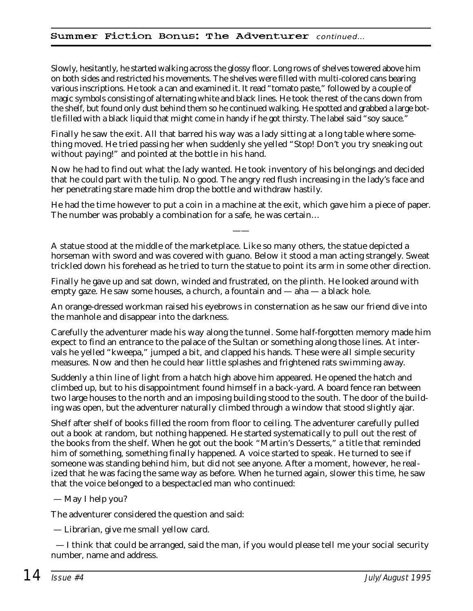#### Summer Fiction Bonus: The Adventurer continued…

Slowly, hesitantly, he started walking across the glossy floor. Long rows of shelves towered above him on both sides and restricted his movements. The shelves were filled with multi-colored cans bearing various inscriptions. He took a can and examined it. It read "tomato paste," followed by a couple of magic symbols consisting of alternating white and black lines. He took the rest of the cans down from the shelf, but found only dust behind them so he continued walking. He spotted and grabbed a large bottle filled with a black liquid that might come in handy if he got thirsty. The label said "soy sauce."

Finally he saw the exit. All that barred his way was a lady sitting at a long table where something moved. He tried passing her when suddenly she yelled "Stop! Don't you try sneaking out without paying!" and pointed at the bottle in his hand.

Now he had to find out what the lady wanted. He took inventory of his belongings and decided that he could part with the tulip. No good. The angry red flush increasing in the lady's face and her penetrating stare made him drop the bottle and withdraw hastily.

He had the time however to put a coin in a machine at the exit, which gave him a piece of paper. The number was probably a combination for a safe, he was certain…

——

A statue stood at the middle of the marketplace. Like so many others, the statue depicted a horseman with sword and was covered with guano. Below it stood a man acting strangely. Sweat trickled down his forehead as he tried to turn the statue to point its arm in some other direction.

Finally he gave up and sat down, winded and frustrated, on the plinth. He looked around with empty gaze. He saw some houses, a church, a fountain and — aha — a black hole.

An orange-dressed workman raised his eyebrows in consternation as he saw our friend dive into the manhole and disappear into the darkness.

Carefully the adventurer made his way along the tunnel. Some half-forgotten memory made him expect to find an entrance to the palace of the Sultan or something along those lines. At intervals he yelled "kweepa," jumped a bit, and clapped his hands. These were all simple security measures. Now and then he could hear little splashes and frightened rats swimming away.

Suddenly a thin line of light from a hatch high above him appeared. He opened the hatch and climbed up, but to his disappointment found himself in a back-yard. A board fence ran between two large houses to the north and an imposing building stood to the south. The door of the building was open, but the adventurer naturally climbed through a window that stood slightly ajar.

Shelf after shelf of books filled the room from floor to ceiling. The adventurer carefully pulled out a book at random, but nothing happened. He started systematically to pull out the rest of the books from the shelf. When he got out the book "Martin's Desserts," a title that reminded him of something, something finally happened. A voice started to speak. He turned to see if someone was standing behind him, but did not see anyone. After a moment, however, he realized that he was facing the same way as before. When he turned again, slower this time, he saw that the voice belonged to a bespectacled man who continued:

#### — May I help you?

The adventurer considered the question and said:

— Librarian, give me small yellow card.

— I think that could be arranged, said the man, if you would please tell me your social security number, name and address.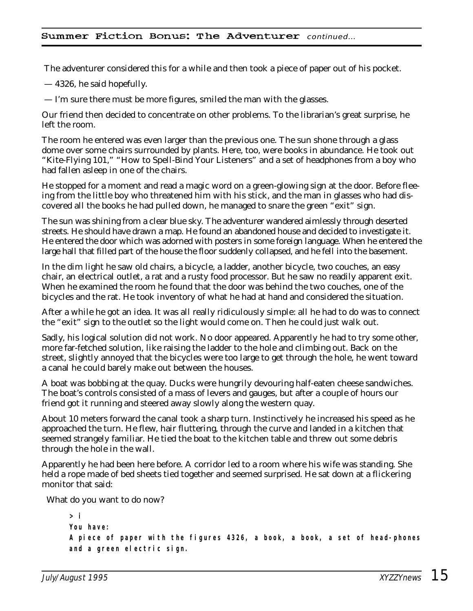#### Summer Fiction Bonus: The Adventurer continued…

The adventurer considered this for a while and then took a piece of paper out of his pocket.

— 4326, he said hopefully.

— I'm sure there must be more figures, smiled the man with the glasses.

Our friend then decided to concentrate on other problems. To the librarian's great surprise, he left the room.

The room he entered was even larger than the previous one. The sun shone through a glass dome over some chairs surrounded by plants. Here, too, were books in abundance. He took out "Kite-Flying 101," "How to Spell-Bind Your Listeners" and a set of headphones from a boy who had fallen asleep in one of the chairs.

He stopped for a moment and read a magic word on a green-glowing sign at the door. Before fleeing from the little boy who threatened him with his stick, and the man in glasses who had discovered all the books he had pulled down, he managed to snare the green "exit" sign.

The sun was shining from a clear blue sky. The adventurer wandered aimlessly through deserted streets. He should have drawn a map. He found an abandoned house and decided to investigate it. He entered the door which was adorned with posters in some foreign language. When he entered the large hall that filled part of the house the floor suddenly collapsed, and he fell into the basement.

In the dim light he saw old chairs, a bicycle, a ladder, another bicycle, two couches, an easy chair, an electrical outlet, a rat and a rusty food processor. But he saw no readily apparent exit. When he examined the room he found that the door was behind the two couches, one of the bicycles and the rat. He took inventory of what he had at hand and considered the situation.

After a while he got an idea. It was all really ridiculously simple: all he had to do was to connect the "exit" sign to the outlet so the light would come on. Then he could just walk out.

Sadly, his logical solution did not work. No door appeared. Apparently he had to try some other, more far-fetched solution, like raising the ladder to the hole and climbing out. Back on the street, slightly annoyed that the bicycles were too large to get through the hole, he went toward a canal he could barely make out between the houses.

A boat was bobbing at the quay. Ducks were hungrily devouring half-eaten cheese sandwiches. The boat's controls consisted of a mass of levers and gauges, but after a couple of hours our friend got it running and steered away slowly along the western quay.

About 10 meters forward the canal took a sharp turn. Instinctively he increased his speed as he approached the turn. He flew, hair fluttering, through the curve and landed in a kitchen that seemed strangely familiar. He tied the boat to the kitchen table and threw out some debris through the hole in the wall.

Apparently he had been here before. A corridor led to a room where his wife was standing. She held a rope made of bed sheets tied together and seemed surprised. He sat down at a flickering monitor that said:

What do you want to do now?

```
> i
You have:
A piece of paper with the figures 4326, a book, a book, a set of head-phones
and a green electric sign.
```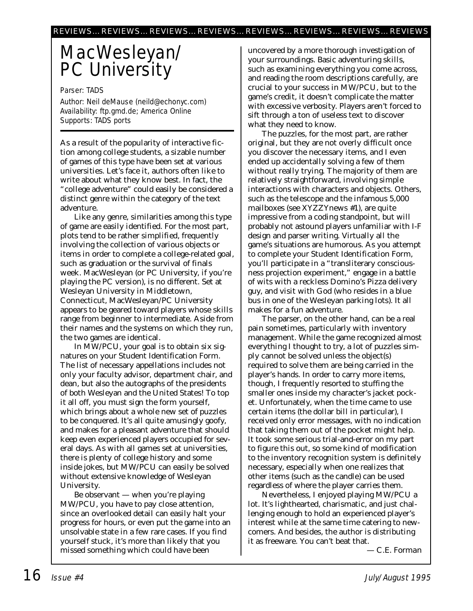## MacWesleyan/ PC University

Parser: TADS

Author: Neil deMause (neild@echonyc.com) Availability: ftp.gmd.de; America Online Supports: TADS ports

As a result of the popularity of interactive fiction among college students, a sizable number of games of this type have been set at various universities. Let's face it, authors often like to write about what they know best. In fact, the "college adventure" could easily be considered a distinct genre within the category of the text adventure.

Like any genre, similarities among this type of game are easily identified. For the most part, plots tend to be rather simplified, frequently involving the collection of various objects or items in order to complete a college-related goal, such as graduation or the survival of finals week. MacWesleyan (or PC University, if you're playing the PC version), is no different. Set at Wesleyan University in Middletown, Connecticut, MacWesleyan/PC University appears to be geared toward players whose skills range from beginner to intermediate. Aside from their names and the systems on which they run, the two games are identical.

In MW/PCU, your goal is to obtain six signatures on your Student Identification Form. The list of necessary appellations includes not only your faculty advisor, department chair, and dean, but also the autographs of the presidents of both Wesleyan and the United States! To top it all off, you must sign the form yourself, which brings about a whole new set of puzzles to be conquered. It's all quite amusingly goofy, and makes for a pleasant adventure that should keep even experienced players occupied for several days. As with all games set at universities, there is plenty of college history and some inside jokes, but MW/PCU can easily be solved without extensive knowledge of Wesleyan University.

Be observant — when you're playing MW/PCU, you have to pay close attention, since an overlooked detail can easily halt your progress for hours, or even put the game into an unsolvable state in a few rare cases. If you find yourself stuck, it's more than likely that you missed something which could have been

uncovered by a more thorough investigation of your surroundings. Basic adventuring skills, such as examining everything you come across, and reading the room descriptions carefully, are crucial to your success in MW/PCU, but to the game's credit, it doesn't complicate the matter with excessive verbosity. Players aren't forced to sift through a ton of useless text to discover what they need to know.

The puzzles, for the most part, are rather original, but they are not overly difficult once you discover the necessary items, and I even ended up accidentally solving a few of them without really trying. The majority of them are relatively straightforward, involving simple interactions with characters and objects. Others, such as the telescope and the infamous 5,000 mailboxes (see *XYZZYnews* #1), are quite impressive from a coding standpoint, but will probably not astound players unfamiliar with I-F design and parser writing. Virtually all the game's situations are humorous. As you attempt to complete your Student Identification Form, you'll participate in a "transliterary consciousness projection experiment," engage in a battle of wits with a reckless Domino's Pizza delivery guy, and visit with God (who resides in a blue bus in one of the Wesleyan parking lots). It all makes for a fun adventure.

The parser, on the other hand, can be a real pain sometimes, particularly with inventory management. While the game recognized almost everything I thought to try, a lot of puzzles simply cannot be solved unless the object(s) required to solve them are being carried in the player's hands. In order to carry more items, though, I frequently resorted to stuffing the smaller ones inside my character's jacket pocket. Unfortunately, when the time came to use certain items (the dollar bill in particular), I received only error messages, with no indication that taking them out of the pocket might help. It took some serious trial-and-error on my part to figure this out, so some kind of modification to the inventory recognition system is definitely necessary, especially when one realizes that other items (such as the candle) can be used regardless of where the player carries them.

Nevertheless, I enjoyed playing MW/PCU a lot. It's lighthearted, charismatic, and just challenging enough to hold an experienced player's interest while at the same time catering to newcomers. And besides, the author is distributing it as freeware. You can't beat that.

*— C.E. Forman*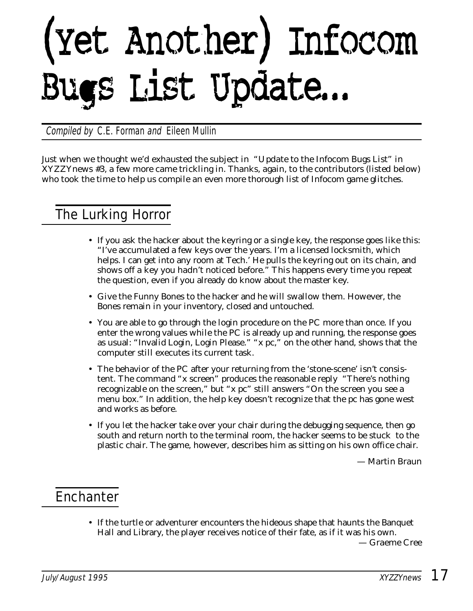## (Yet Another) Infocom Bugs List Update...

Compiled by C.E. Forman and Eileen Mullin

*Just when we thought we'd exhausted the subject in "Update to the Infocom Bugs List" in* XYZZYnews *#3, a few more came trickling in. Thanks, again, to the contributors (listed below) who took the time to help us compile an even more thorough list of Infocom game glitches.*

## The Lurking Horror

- If you ask the hacker about the keyring or a single key, the response goes like this: "I've accumulated a few keys over the years. I'm a licensed locksmith, which helps. I can get into any room at Tech.' He pulls the keyring out on its chain, and *shows off a key you hadn't noticed before."* This happens every time you repeat the question, even if you already do know about the master key.
- Give the Funny Bones to the hacker and he will swallow them. However, the Bones remain in your inventory, closed and untouched.
- You are able to go through the login procedure on the PC more than once. If you enter the wrong values while the PC is already up and running, the response goes as usual: "Invalid Login, Login Please." "x pc," on the other hand, shows that the computer still executes its current task.
- The behavior of the PC after your returning from the 'stone-scene' isn't consistent. The command "x screen" produces the reasonable reply "There's nothing recognizable on the screen," but "x pc" still answers "On the screen you see a menu box." In addition, the help key doesn't recognize that the pc has gone west and works as before.
- If you let the hacker take over your chair during the debugging sequence, then go south and return north to the terminal room, the hacker seems to be stuck to the plastic chair. The game, however, describes him as sitting on his own office chair.

*— Martin Braun*

## **Enchanter**

• If the turtle or adventurer encounters the hideous shape that haunts the Banquet Hall and Library, the player receives notice of their fate, as if it was his own.

*— Graeme Cree*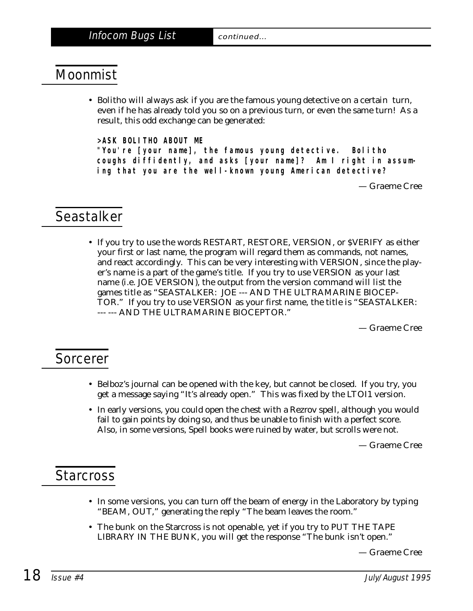## Moonmist

• Bolitho will always ask if you are the famous young detective on a certain turn, even if he has already told you so on a previous turn, or even the same turn! As a result, this odd exchange can be generated:

**>ASK BOLITHO ABOUT ME**

**"You're [your name], the famous young detective. Bolitho coughs diffidently, and asks [your name]? Am I right in assuming that you are the well-known young American detective?**

*— Graeme Cree*

## Seastalker

• If you try to use the words RESTART, RESTORE, VERSION, or \$VERIFY as either your first or last name, the program will regard them as commands, not names, and react accordingly. This can be very interesting with VERSION, since the player's name is a part of the game's title. If you try to use VERSION as your last name (i.e. JOE VERSION), the output from the version command will list the games title as "SEASTALKER: JOE --- AND THE ULTRAMARINE BIOCEP-TOR." If you try to use VERSION as your first name, the title is "SEASTALKER: --- --- AND THE ULTRAMARINE BIOCEPTOR."

*— Graeme Cree*

### Sorcerer

- Belboz's journal can be opened with the key, but cannot be closed. If you try, you get a message saying "It's already open." This was fixed by the LTOI1 version.
- In early versions, you could open the chest with a Rezrov spell, although you would fail to gain points by doing so, and thus be unable to finish with a perfect score. Also, in some versions, Spell books were ruined by water, but scrolls were not.

*— Graeme Cree*

### **Starcross**

- In some versions, you can turn off the beam of energy in the Laboratory by typing "BEAM, OUT," generating the reply "The beam leaves the room."
- The bunk on the Starcross is not openable, yet if you try to PUT THE TAPE LIBRARY IN THE BUNK, you will get the response "The bunk isn't open."

*— Graeme Cree*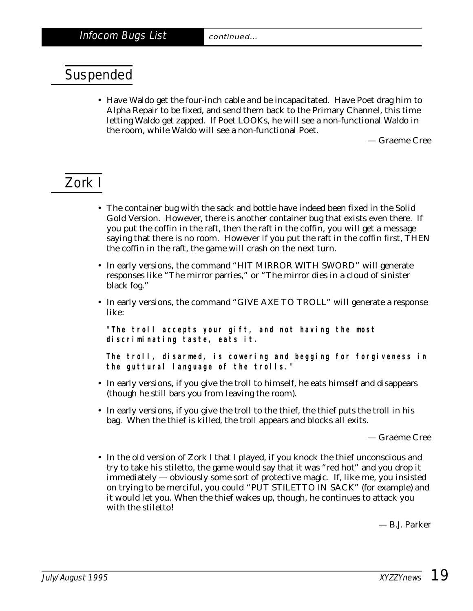## Suspended

• Have Waldo get the four-inch cable and be incapacitated. Have Poet drag him to Alpha Repair to be fixed, and send them back to the Primary Channel, this time letting Waldo get zapped. If Poet LOOKs, he will see a non-functional Waldo in the room, while Waldo will see a non-functional Poet.

*— Graeme Cree*

## Zork I

- The container bug with the sack and bottle have indeed been fixed in the Solid Gold Version. However, there is another container bug that exists even there. If you put the coffin in the raft, then the raft in the coffin, you will get a message saying that there is no room. However if you put the raft in the coffin first, THEN the coffin in the raft, the game will crash on the next turn.
- In early versions, the command "HIT MIRROR WITH SWORD" will generate responses like "The mirror parries," or "The mirror dies in a cloud of sinister black fog."
- In early versions, the command "GIVE AXE TO TROLL" will generate a response like:

**"The troll accepts your gift, and not having the most discriminating taste, eats it.**

**The troll, disarmed, is cowering and begging for forgiveness in the guttural language of the trolls."**

- In early versions, if you give the troll to himself, he eats himself and disappears (though he still bars you from leaving the room).
- In early versions, if you give the troll to the thief, the thief puts the troll in his bag. When the thief is killed, the troll appears and blocks all exits.

*— Graeme Cree*

• In the old version of Zork I that I played, if you knock the thief unconscious and try to take his stiletto, the game would say that it was "red hot" and you drop it immediately — obviously some sort of protective magic. If, like me, you insisted on trying to be merciful, you *could* "PUT STILETTO IN SACK" (for example) and it would let you. When the thief wakes up, though, he continues to attack you with the stiletto!

*— B.J. Parker*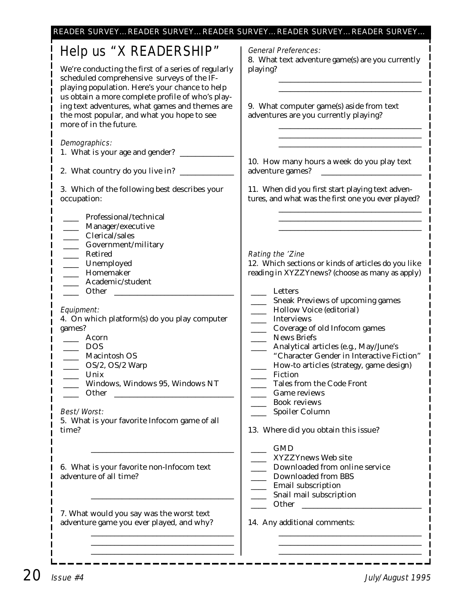| Help us "X READERSHIP"<br>We're conducting the first of a series of regularly<br>scheduled comprehensive surveys of the IF-<br>playing population. Here's your chance to help<br>us obtain a more complete profile of who's play-<br>ing text adventures, what games and themes are<br>the most popular, and what you hope to see<br>more of in the future. | <b>General Preferences:</b><br>8. What text adventure game(s) are you currently<br>playing?<br>9. What computer game(s) aside from text<br>adventures are you currently playing?                                                                                                                                                         |
|-------------------------------------------------------------------------------------------------------------------------------------------------------------------------------------------------------------------------------------------------------------------------------------------------------------------------------------------------------------|------------------------------------------------------------------------------------------------------------------------------------------------------------------------------------------------------------------------------------------------------------------------------------------------------------------------------------------|
| Demographics:<br>1. What is your age and gender? _______<br>3. Which of the following best describes your<br>occupation:                                                                                                                                                                                                                                    | 10. How many hours a week do you play text<br>adventure games?<br>11. When did you first start playing text adven-<br>tures, and what was the first one you ever played?                                                                                                                                                                 |
| Professional/technical<br>Manager/executive<br>Clerical/sales<br>Government/military<br>Retired<br>Unemployed<br>Homemaker<br>Academic/student<br>Other                                                                                                                                                                                                     | Rating the 'Zine<br>12. Which sections or kinds of articles do you like<br>reading in XYZZYnews? (choose as many as apply)<br>Letters                                                                                                                                                                                                    |
| Equipment:<br>4. On which platform(s) do you play computer<br>games?<br>Acorn<br><b>DOS</b><br>Macintosh OS<br>OS/2, OS/2 Warp<br>Unix<br>Windows, Windows 95, Windows NT<br>Other                                                                                                                                                                          | Sneak Previews of upcoming games<br>Hollow Voice (editorial)<br><b>Interviews</b><br>Coverage of old Infocom games<br><b>News Briefs</b><br>Analytical articles (e.g., May/June's<br>"Character Gender in Interactive Fiction"<br>How-to articles (strategy, game design)<br>Fiction<br>Tales from the Code Front<br><b>Game reviews</b> |
| Best/Worst:<br>5. What is your favorite Infocom game of all<br>time?                                                                                                                                                                                                                                                                                        | <b>Book reviews</b><br>Spoiler Column<br>13. Where did you obtain this issue?                                                                                                                                                                                                                                                            |
| 6. What is your favorite non-Infocom text<br>adventure of all time?                                                                                                                                                                                                                                                                                         | <b>GMD</b><br>XYZZYnews Web site<br>Downloaded from online service<br>Downloaded from BBS<br>Email subscription<br>Snail mail subscription                                                                                                                                                                                               |
| 7. What would you say was the worst text<br>adventure game you ever played, and why?                                                                                                                                                                                                                                                                        | Other<br><u> 1990 - Jan Barbara Barat, martin d</u><br>14. Any additional comments:                                                                                                                                                                                                                                                      |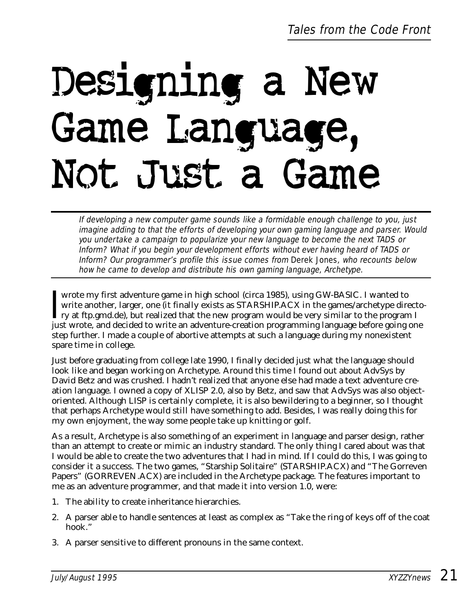## Designing a New Game Language, Not Just a Game

If developing a new computer game sounds like a formidable enough challenge to you, just imagine adding to that the efforts of developing your own gaming language and parser. Would you undertake a campaign to popularize your new language to become the next TADS or Inform? What if you begin your development efforts without ever having heard of TADS or Inform? Our programmer's profile this issue comes from Derek Jones, who recounts below how he came to develop and distribute his own gaming language, Archetype.

wrote my first adventure game in high school (circa 1985), using GW-BASIC. I wanted to<br>write another, larger, one (it finally exists as STARSHIP.ACX in the games/archetype direct<br>ry at ftp.gmd.de), but realized that the ne wrote my first adventure game in high school (circa 1985), using GW-BASIC. I wanted to write another, larger, one (it finally exists as STARSHIP.ACX in the games/archetype directojust wrote, and decided to write an adventure-creation programming language before going one step further. I made a couple of abortive attempts at such a language during my nonexistent spare time in college.

Just before graduating from college late 1990, I finally decided just what the language should look like and began working on Archetype. Around this time I found out about AdvSys by David Betz and was crushed. I hadn't realized that anyone else had made a text adventure creation language. I owned a copy of XLISP 2.0, also by Betz, and saw that AdvSys was also objectoriented. Although LISP is certainly complete, it is also bewildering to a beginner, so I thought that perhaps Archetype would still have something to add. Besides, I was really doing this for my own enjoyment, the way some people take up knitting or golf.

As a result, Archetype is also something of an experiment in language and parser design, rather than an attempt to create or mimic an industry standard. The only thing I cared about was that I would be able to create the two adventures that I had in mind. If I could do this, I was going to consider it a success. The two games, "Starship Solitaire" (STARSHIP.ACX) and "The Gorreven Papers" (GORREVEN.ACX) are included in the Archetype package. The features important to me as an adventure programmer, and that made it into version 1.0, were:

- 1. The ability to create inheritance hierarchies.
- 2. A parser able to handle sentences at least as complex as "Take the ring of keys off of the coat hook."
- 3. A parser sensitive to different pronouns in the same context.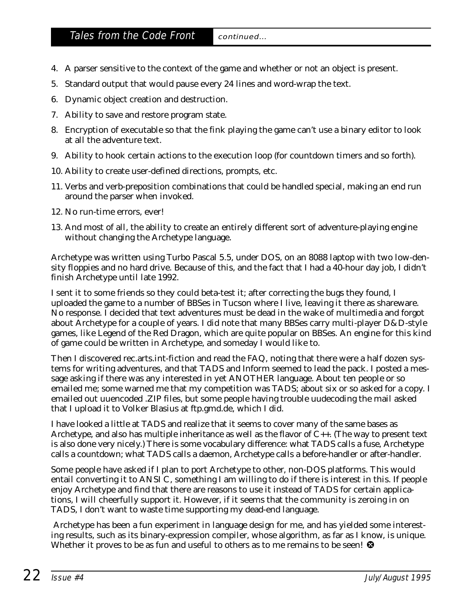- 4. A parser sensitive to the context of the game and whether or not an object is present.
- 5. Standard output that would pause every 24 lines and word-wrap the text.
- 6. Dynamic object creation and destruction.
- 7. Ability to save and restore program state.
- 8. Encryption of executable so that the fink playing the game can't use a binary editor to look at all the adventure text.
- 9. Ability to hook certain actions to the execution loop (for countdown timers and so forth).
- 10. Ability to create user-defined directions, prompts, etc.
- 11. Verbs and verb-preposition combinations that could be handled special, making an end run around the parser when invoked.
- 12. No run-time errors, ever!
- 13. And most of all, the ability to create an entirely different sort of adventure-playing engine without changing the Archetype language.

Archetype was written using Turbo Pascal 5.5, under DOS, on an 8088 laptop with two low-density floppies and no hard drive. Because of this, and the fact that I had a 40-hour day job, I didn't finish Archetype until late 1992.

I sent it to some friends so they could beta-test it; after correcting the bugs they found, I uploaded the game to a number of BBSes in Tucson where I live, leaving it there as shareware. No response. I decided that text adventures must be dead in the wake of multimedia and forgot about Archetype for a couple of years. I did note that many BBSes carry multi-player D&D-style games, like Legend of the Red Dragon, which are quite popular on BBSes. An engine for this kind of game could be written in Archetype, and someday I would like to.

Then I discovered rec.arts.int-fiction and read the FAQ, noting that there were a half dozen systems for writing adventures, and that TADS and Inform seemed to lead the pack. I posted a message asking if there was any interested in yet ANOTHER language. About ten people or so emailed me; some warned me that my competition was TADS; about six or so asked for a copy. I emailed out uuencoded .ZIP files, but some people having trouble uudecoding the mail asked that I upload it to Volker Blasius at ftp.gmd.de, which I did.

I have looked a little at TADS and realize that it seems to cover many of the same bases as Archetype, and also has multiple inheritance as well as the flavor of  $C_{++}$ . (The way to present text is also done very nicely.) There is some vocabulary difference: what TADS calls a fuse, Archetype calls a countdown; what TADS calls a daemon, Archetype calls a before-handler or after-handler.

Some people have asked if I plan to port Archetype to other, non-DOS platforms. This would entail converting it to ANSI C, something I am willing to do if there is interest in this. If people enjoy Archetype and find that there are reasons to use it instead of TADS for certain applications, I will cheerfully support it. However, if it seems that the community is zeroing in on TADS, I don't want to waste time supporting my dead-end language.

Archetype has been a fun experiment in language design for me, and has yielded some interesting results, such as its binary-expression compiler, whose algorithm, as far as I know, is unique. Whether it proves to be as fun and useful to others as to me remains to be seen!  $\mathbf{\Theta}$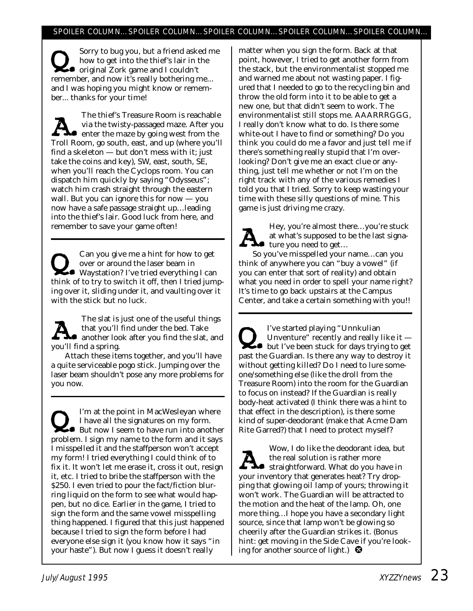#### SPOILER COLUMN…SPOILER COLUMN…SPOILER COLUMN…SPOILER COLUMN…SPOILER COLUMN…

Sorry to bug you, but a friend asked me<br>how to get into the thief's lair in the<br>original Zork game and I couldn't<br>remember and now it's really bothering me how to get into the thief's lair in the remember, and now it's really bothering me... and I was hoping you might know or remember... thanks for your time!

The thief's Treasure Room is reachable<br>via the twisty-passaged maze. After you<br>enter the maze by going west from the<br>Troll Boom go south east, and up (where you'll via the twisty-passaged maze. After you Troll Room, go south, east, and up (where you'll find a skeleton — but don't mess with it; just take the coins and key), SW, east, south, SE, when you'll reach the Cyclops room. You can dispatch him quickly by saying "Odysseus"; watch him crash straight through the eastern wall. But you can ignore this for now — you now have a safe passage straight up…leading into the thief's lair. Good luck from here, and remember to save your game often!

Can you give me a hint for how to get<br>
waystation? I've tried everything I can<br>
think of to try to switch it off, then I tried jum over or around the laser beam in think of to try to switch it off, then I tried jumping over it, sliding under it, and vaulting over it with the stick but no luck.

The slat is just one of the useful things<br>that you'll find under the bed. Take<br>another look after you find the slat, and<br>you'll find a spring that you'll find under the bed. Take you'll find a spring.

Attach these items together, and you'll have a quite serviceable pogo stick. Jumping over the laser beam shouldn't pose any more problems for you now.

I'm at the point in MacWesleyan where<br>
I have all the signatures on my form.<br>
But now I seem to have run into another<br>
problem I sign my name to the form and it says I have all the signatures on my form. problem. I sign my name to the form and it says I misspelled it and the staffperson won't accept my form! I tried everything I could think of to fix it. It won't let me erase it, cross it out, resign it, etc. I tried to bribe the staffperson with the \$250. I even tried to pour the fact/fiction blurring liquid on the form to see what would happen, but no dice. Earlier in the game, I tried to sign the form and the same vowel misspelling thing happened. I figured that this just happened because I tried to sign the form before I had everyone else sign it (you know how it says "in your haste"). But now I guess it doesn't really

matter when you sign the form. Back at that point, however, I tried to get another form from the stack, but the environmentalist stopped me and warned me about not wasting paper. I figured that I needed to go to the recycling bin and throw the old form into it to be able to get a new one, but that didn't seem to work. The environmentalist still stops me. AAARRRGGG, I really don't know what to do. Is there some white-out I have to find or something? Do you think you could do me a favor and just tell me if there's something really stupid that I'm overlooking? Don't give me an exact clue or anything, just tell me whether or not I'm on the right track with any of the various remedies I told you that I tried. Sorry to keep wasting your time with these silly questions of mine. This game is just driving me crazy.



Hey, you're almost there...you're stuck at what's *supposed* to be the last signa-● ture you need to get...

So you've misspelled your name…can you think of anywhere you can "buy a vowel" (if you can enter that sort of reality) and obtain what you need in order to spell your name right? It's time to go back upstairs at the Campus Center, and take a certain something with you!!

I've started playing "Unnkulian<br>Unventure" recently and really like it —<br>but I've been stuck for days trying to get<br>nast the Guardian. Is there any way to destroy it Unventure" recently and really like it past the Guardian. Is there any way to destroy it without getting killed? Do I need to lure someone/something else (like the droll from the Treasure Room) into the room for the Guardian to focus on instead? If the Guardian is really body-heat activated (I think there was a hint to that effect in the description), is there some kind of super-deodorant (make that Acme Dam Rite Garred?) that I need to protect myself?

Wow, I do like the deodorant idea, but<br>the real solution is rather more<br>your inventory that generates heat? Try dropthe real solution is rather more straightforward. What do you have in your inventory that generates heat? Try dropping that glowing oil lamp of yours; throwing it won't work. The Guardian will be attracted to the motion and the heat of the lamp. Oh, one more thing…I hope you have a secondary light source, since that lamp won't be glowing so cheerily after the Guardian strikes it. (Bonus hint: get moving in the Side Cave if you're looking for another source of light.)  $\bullet$